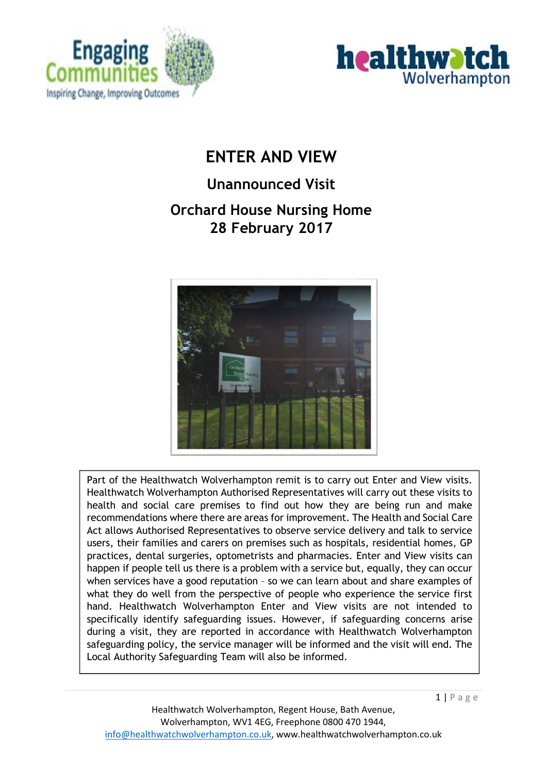



# **ENTER AND VIEW**

# **Unannounced Visit**

## **Orchard House Nursing Home 28 February 2017**



Part of the Healthwatch Wolverhampton remit is to carry out Enter and View visits. Healthwatch Wolverhampton Authorised Representatives will carry out these visits to health and social care premises to find out how they are being run and make recommendations where there are areas for improvement. The Health and Social Care Act allows Authorised Representatives to observe service delivery and talk to service users, their families and carers on premises such as hospitals, residential homes, GP practices, dental surgeries, optometrists and pharmacies. Enter and View visits can happen if people tell us there is a problem with a service but, equally, they can occur when services have a good reputation – so we can learn about and share examples of what they do well from the perspective of people who experience the service first hand. Healthwatch Wolverhampton Enter and View visits are not intended to specifically identify safeguarding issues. However, if safeguarding concerns arise during a visit, they are reported in accordance with Healthwatch Wolverhampton safeguarding policy, the service manager will be informed and the visit will end. The Local Authority Safeguarding Team will also be informed.

 $1 | P$  a g e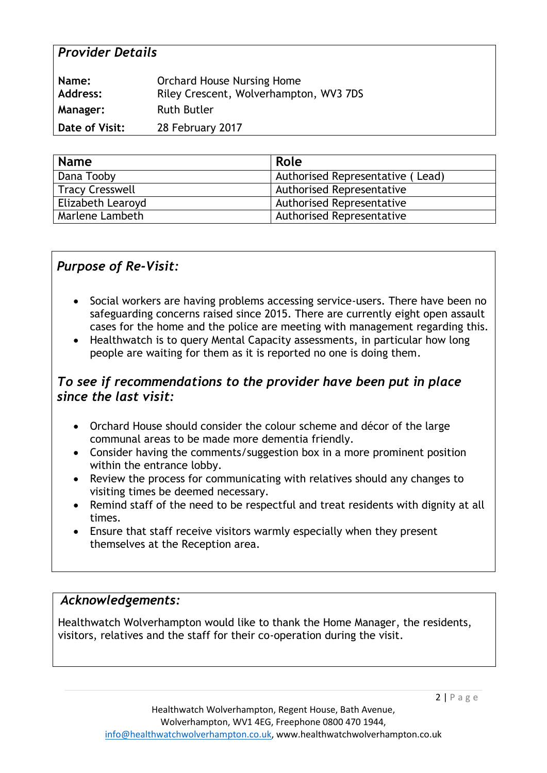#### *Provider Details*

| Name:<br><b>Address:</b> | <b>Orchard House Nursing Home</b><br>Riley Crescent, Wolverhampton, WV3 7DS |
|--------------------------|-----------------------------------------------------------------------------|
| <b>Manager:</b>          | <b>Ruth Butler</b>                                                          |
| Date of Visit:           | 28 February 2017                                                            |

| <b>Name</b>            | Role                             |
|------------------------|----------------------------------|
| Dana Tooby             | Authorised Representative (Lead) |
| <b>Tracy Cresswell</b> | <b>Authorised Representative</b> |
| Elizabeth Learoyd      | <b>Authorised Representative</b> |
| Marlene Lambeth        | <b>Authorised Representative</b> |

#### *Purpose of Re-Visit:*

- Social workers are having problems accessing service-users. There have been no safeguarding concerns raised since 2015. There are currently eight open assault cases for the home and the police are meeting with management regarding this.
- Healthwatch is to query Mental Capacity assessments, in particular how long people are waiting for them as it is reported no one is doing them.

#### *To see if recommendations to the provider have been put in place since the last visit:*

- Orchard House should consider the colour scheme and décor of the large communal areas to be made more dementia friendly.
- Consider having the comments/suggestion box in a more prominent position within the entrance lobby.
- Review the process for communicating with relatives should any changes to visiting times be deemed necessary.
- Remind staff of the need to be respectful and treat residents with dignity at all times.
- Ensure that staff receive visitors warmly especially when they present themselves at the Reception area.

#### *Acknowledgements:*

Healthwatch Wolverhampton would like to thank the Home Manager, the residents, visitors, relatives and the staff for their co-operation during the visit.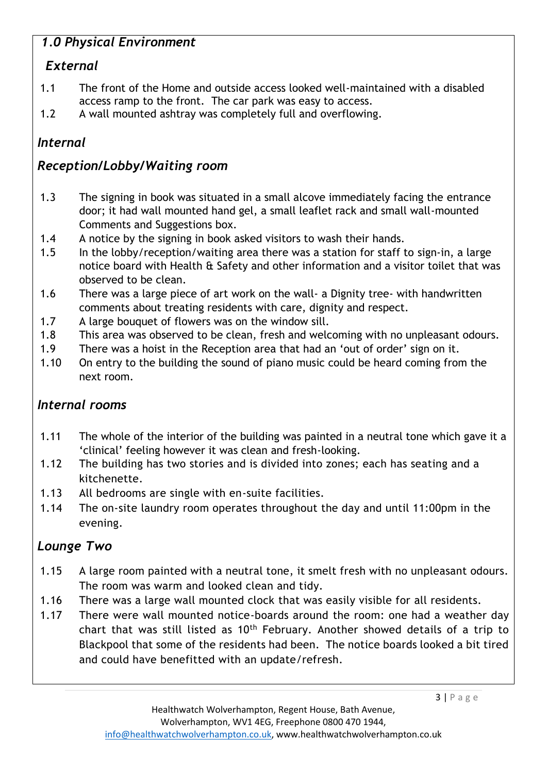## *1.0 Physical Environment*

## *External*

- 1.1 The front of the Home and outside access looked well-maintained with a disabled access ramp to the front. The car park was easy to access.
- 1.2 A wall mounted ashtray was completely full and overflowing.

## *Internal*

## *Reception/Lobby/Waiting room*

- 1.3 The signing in book was situated in a small alcove immediately facing the entrance door; it had wall mounted hand gel, a small leaflet rack and small wall-mounted Comments and Suggestions box.
- 1.4 A notice by the signing in book asked visitors to wash their hands.
- 1.5 In the lobby/reception/waiting area there was a station for staff to sign-in, a large notice board with Health & Safety and other information and a visitor toilet that was observed to be clean.
- 1.6 There was a large piece of art work on the wall- a Dignity tree- with handwritten comments about treating residents with care, dignity and respect.
- 1.7 A large bouquet of flowers was on the window sill.
- 1.8 This area was observed to be clean, fresh and welcoming with no unpleasant odours.
- 1.9 There was a hoist in the Reception area that had an 'out of order' sign on it.
- 1.10 On entry to the building the sound of piano music could be heard coming from the next room.

## *Internal rooms*

- 1.11 The whole of the interior of the building was painted in a neutral tone which gave it a 'clinical' feeling however it was clean and fresh-looking.
- 1.12 The building has two stories and is divided into zones; each has seating and a kitchenette.
- 1.13 All bedrooms are single with en-suite facilities.
- 1.14 The on-site laundry room operates throughout the day and until 11:00pm in the evening.

## *Lounge Two*

- 1.15 A large room painted with a neutral tone, it smelt fresh with no unpleasant odours. The room was warm and looked clean and tidy.
- 1.16 There was a large wall mounted clock that was easily visible for all residents.
- 1.17 There were wall mounted notice-boards around the room: one had a weather day chart that was still listed as 10th February. Another showed details of a trip to Blackpool that some of the residents had been. The notice boards looked a bit tired and could have benefitted with an update/refresh.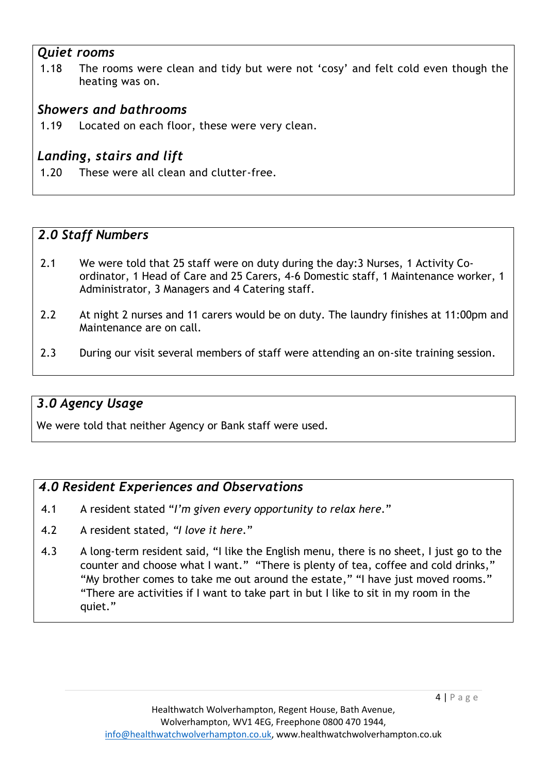#### *Quiet rooms*

1.18 The rooms were clean and tidy but were not 'cosy' and felt cold even though the heating was on.

#### *Showers and bathrooms*

1.19 Located on each floor, these were very clean.

## *Landing, stairs and lift*

1.20 These were all clean and clutter-free.

#### *2.0 Staff Numbers*

- 2.1 We were told that 25 staff were on duty during the day:3 Nurses, 1 Activity Coordinator, 1 Head of Care and 25 Carers, 4-6 Domestic staff, 1 Maintenance worker, 1 Administrator, 3 Managers and 4 Catering staff.
- 2.2 At night 2 nurses and 11 carers would be on duty. The laundry finishes at 11:00pm and Maintenance are on call.
- 2.3 During our visit several members of staff were attending an on-site training session.

#### *3.0 Agency Usage*

We were told that neither Agency or Bank staff were used.

#### *4.0 Resident Experiences and Observations*

- 4.1 A resident stated "*I'm given every opportunity to relax here.*"
- 4.2 A resident stated, *"I love it here.*"
- 4.3 A long-term resident said, "I like the English menu, there is no sheet, I just go to the counter and choose what I want." "There is plenty of tea, coffee and cold drinks," "My brother comes to take me out around the estate," "I have just moved rooms." "There are activities if I want to take part in but I like to sit in my room in the quiet."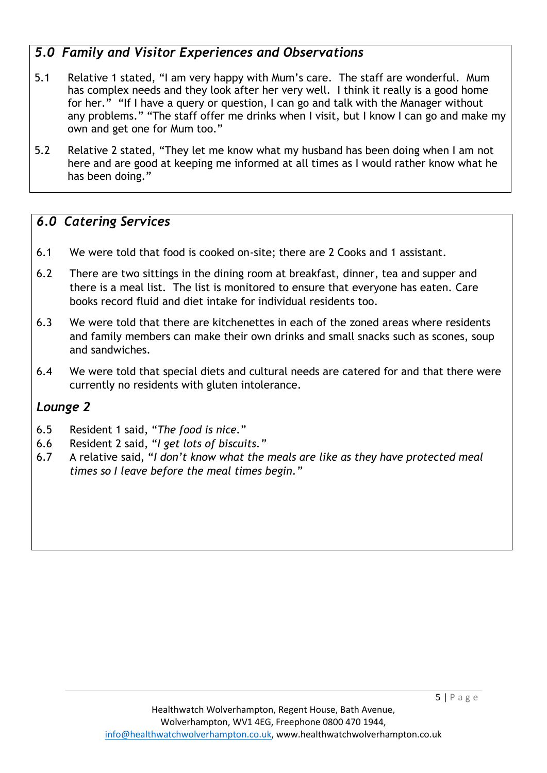## *5.0 Family and Visitor Experiences and Observations*

- 5.1 Relative 1 stated, "I am very happy with Mum's care. The staff are wonderful. Mum has complex needs and they look after her very well. I think it really is a good home for her." "If I have a query or question, I can go and talk with the Manager without any problems." "The staff offer me drinks when I visit, but I know I can go and make my own and get one for Mum too."
- 5.2 Relative 2 stated, "They let me know what my husband has been doing when I am not here and are good at keeping me informed at all times as I would rather know what he has been doing."

#### *6.0 Catering Services*

- 6.1 We were told that food is cooked on-site; there are 2 Cooks and 1 assistant.
- 6.2 There are two sittings in the dining room at breakfast, dinner, tea and supper and there is a meal list. The list is monitored to ensure that everyone has eaten. Care books record fluid and diet intake for individual residents too.
- 6.3 We were told that there are kitchenettes in each of the zoned areas where residents and family members can make their own drinks and small snacks such as scones, soup and sandwiches.
- 6.4 We were told that special diets and cultural needs are catered for and that there were currently no residents with gluten intolerance.

#### *Lounge 2*

- 6.5 Resident 1 said, "*The food is nice.*"
- 6.6 Resident 2 said, "*I get lots of biscuits."*
- 6.7 A relative said, "*I don't know what the meals are like as they have protected meal times so I leave before the meal times begin."*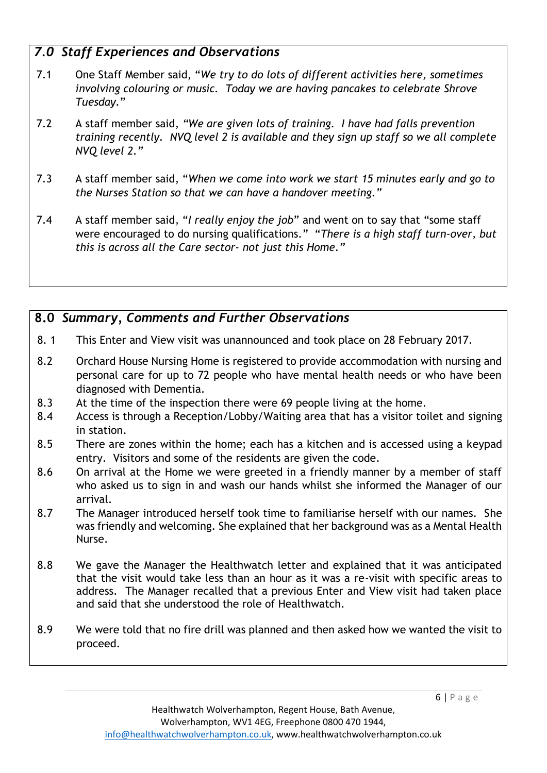#### *7.0 Staff Experiences and Observations*

- 7.1 One Staff Member said, "*We try to do lots of different activities here, sometimes involving colouring or music. Today we are having pancakes to celebrate Shrove Tuesday.*"
- 7.2 A staff member said, *"We are given lots of training. I have had falls prevention training recently. NVQ level 2 is available and they sign up staff so we all complete NVQ level 2."*
- 7.3 A staff member said, "*When we come into work we start 15 minutes early and go to the Nurses Station so that we can have a handover meeting."*
- 7.4 A staff member said, "*I really enjoy the job*" and went on to say that "some staff were encouraged to do nursing qualifications." "*There is a high staff turn-over, but this is across all the Care sector- not just this Home."*

#### **8.0** *Summary, Comments and Further Observations*

- 8. 1 This Enter and View visit was unannounced and took place on 28 February 2017.
- 8.2 Orchard House Nursing Home is registered to provide accommodation with nursing and personal care for up to 72 people who have mental health needs or who have been diagnosed with Dementia.
- 8.3 At the time of the inspection there were 69 people living at the home.
- 8.4 Access is through a Reception/Lobby/Waiting area that has a visitor toilet and signing in station.
- 8.5 There are zones within the home; each has a kitchen and is accessed using a keypad entry. Visitors and some of the residents are given the code.
- 8.6 On arrival at the Home we were greeted in a friendly manner by a member of staff who asked us to sign in and wash our hands whilst she informed the Manager of our arrival.
- 8.7 The Manager introduced herself took time to familiarise herself with our names. She was friendly and welcoming. She explained that her background was as a Mental Health Nurse.
- 8.8 We gave the Manager the Healthwatch letter and explained that it was anticipated that the visit would take less than an hour as it was a re-visit with specific areas to address. The Manager recalled that a previous Enter and View visit had taken place and said that she understood the role of Healthwatch.
- 8.9 We were told that no fire drill was planned and then asked how we wanted the visit to proceed.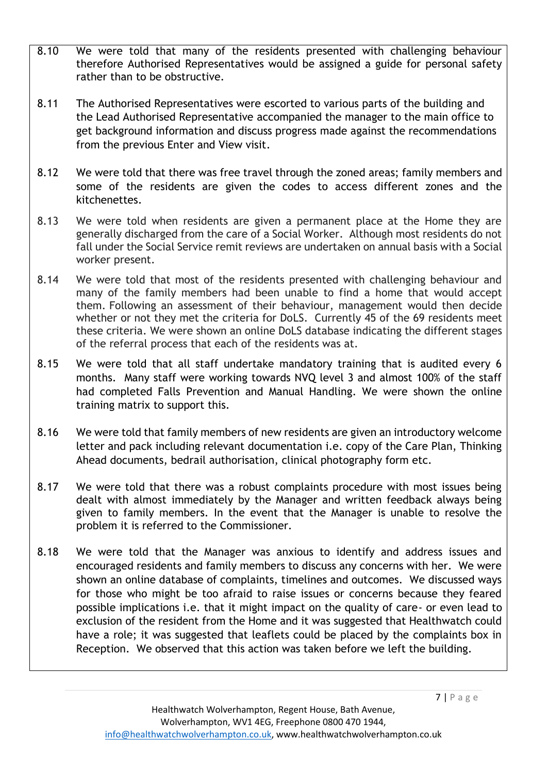- 8.10 We were told that many of the residents presented with challenging behaviour therefore Authorised Representatives would be assigned a guide for personal safety rather than to be obstructive.
- 8.11 The Authorised Representatives were escorted to various parts of the building and the Lead Authorised Representative accompanied the manager to the main office to get background information and discuss progress made against the recommendations from the previous Enter and View visit.
- 8.12 We were told that there was free travel through the zoned areas; family members and some of the residents are given the codes to access different zones and the kitchenettes.
- 8.13 We were told when residents are given a permanent place at the Home they are generally discharged from the care of a Social Worker. Although most residents do not fall under the Social Service remit reviews are undertaken on annual basis with a Social worker present.
- 8.14 We were told that most of the residents presented with challenging behaviour and many of the family members had been unable to find a home that would accept them. Following an assessment of their behaviour, management would then decide whether or not they met the criteria for DoLS. Currently 45 of the 69 residents meet these criteria. We were shown an online DoLS database indicating the different stages of the referral process that each of the residents was at.
- 8.15 We were told that all staff undertake mandatory training that is audited every 6 months. Many staff were working towards NVQ level 3 and almost 100% of the staff had completed Falls Prevention and Manual Handling. We were shown the online training matrix to support this.
- 8.16 We were told that family members of new residents are given an introductory welcome letter and pack including relevant documentation i.e. copy of the Care Plan, Thinking Ahead documents, bedrail authorisation, clinical photography form etc.
- 8.17 We were told that there was a robust complaints procedure with most issues being dealt with almost immediately by the Manager and written feedback always being given to family members. In the event that the Manager is unable to resolve the problem it is referred to the Commissioner.
- 8.18 We were told that the Manager was anxious to identify and address issues and encouraged residents and family members to discuss any concerns with her. We were shown an online database of complaints, timelines and outcomes. We discussed ways for those who might be too afraid to raise issues or concerns because they feared possible implications i.e. that it might impact on the quality of care- or even lead to exclusion of the resident from the Home and it was suggested that Healthwatch could have a role; it was suggested that leaflets could be placed by the complaints box in Reception. We observed that this action was taken before we left the building.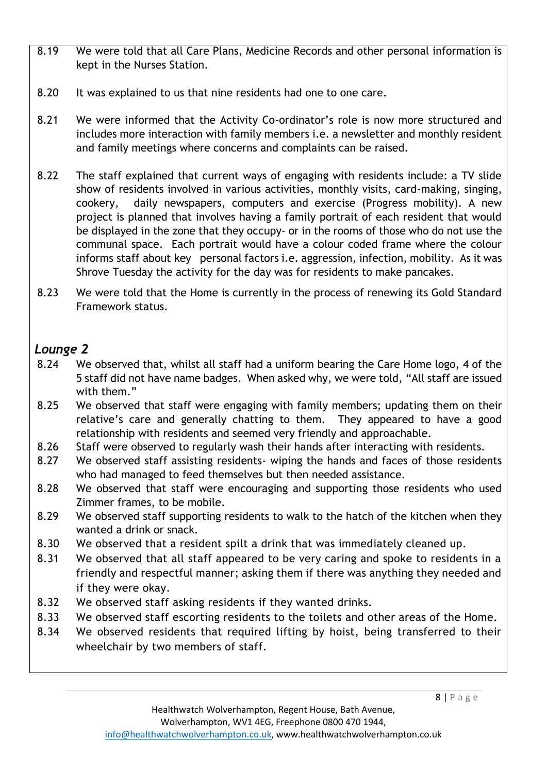- 8.19 We were told that all Care Plans, Medicine Records and other personal information is kept in the Nurses Station.
- 8.20 It was explained to us that nine residents had one to one care.
- 8.21 We were informed that the Activity Co-ordinator's role is now more structured and includes more interaction with family members i.e. a newsletter and monthly resident and family meetings where concerns and complaints can be raised.
- 8.22 The staff explained that current ways of engaging with residents include: a TV slide show of residents involved in various activities, monthly visits, card-making, singing, cookery, daily newspapers, computers and exercise (Progress mobility). A new project is planned that involves having a family portrait of each resident that would be displayed in the zone that they occupy- or in the rooms of those who do not use the communal space. Each portrait would have a colour coded frame where the colour informs staff about key personal factors i.e. aggression, infection, mobility. As it was Shrove Tuesday the activity for the day was for residents to make pancakes.
- 8.23 We were told that the Home is currently in the process of renewing its Gold Standard Framework status.

## *Lounge 2*

- 8.24 We observed that, whilst all staff had a uniform bearing the Care Home logo, 4 of the 5 staff did not have name badges. When asked why, we were told, "All staff are issued with them."
- 8.25 We observed that staff were engaging with family members; updating them on their relative's care and generally chatting to them. They appeared to have a good relationship with residents and seemed very friendly and approachable.
- 8.26 Staff were observed to regularly wash their hands after interacting with residents.
- 8.27 We observed staff assisting residents- wiping the hands and faces of those residents who had managed to feed themselves but then needed assistance.
- 8.28 We observed that staff were encouraging and supporting those residents who used Zimmer frames, to be mobile.
- 8.29 We observed staff supporting residents to walk to the hatch of the kitchen when they wanted a drink or snack.
- 8.30 We observed that a resident spilt a drink that was immediately cleaned up.
- 8.31 We observed that all staff appeared to be very caring and spoke to residents in a friendly and respectful manner; asking them if there was anything they needed and if they were okay.
- 8.32 We observed staff asking residents if they wanted drinks.
- 8.33 We observed staff escorting residents to the toilets and other areas of the Home.
- 8.34 We observed residents that required lifting by hoist, being transferred to their wheelchair by two members of staff.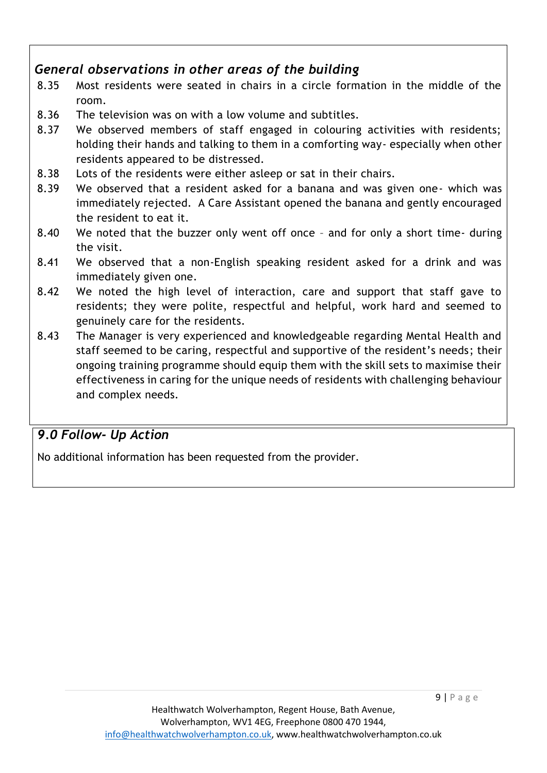#### *General observations in other areas of the building*

- 8.35 Most residents were seated in chairs in a circle formation in the middle of the room.
- 8.36 The television was on with a low volume and subtitles.
- 8.37 We observed members of staff engaged in colouring activities with residents; holding their hands and talking to them in a comforting way- especially when other residents appeared to be distressed.
- 8.38 Lots of the residents were either asleep or sat in their chairs.
- 8.39 We observed that a resident asked for a banana and was given one- which was immediately rejected. A Care Assistant opened the banana and gently encouraged the resident to eat it.
- 8.40 We noted that the buzzer only went off once and for only a short time- during the visit.
- 8.41 We observed that a non-English speaking resident asked for a drink and was immediately given one.
- 8.42 We noted the high level of interaction, care and support that staff gave to residents; they were polite, respectful and helpful, work hard and seemed to genuinely care for the residents.
- 8.43 The Manager is very experienced and knowledgeable regarding Mental Health and staff seemed to be caring, respectful and supportive of the resident's needs; their ongoing training programme should equip them with the skill sets to maximise their effectiveness in caring for the unique needs of residents with challenging behaviour and complex needs.

## *9.0 Follow- Up Action*

No additional information has been requested from the provider.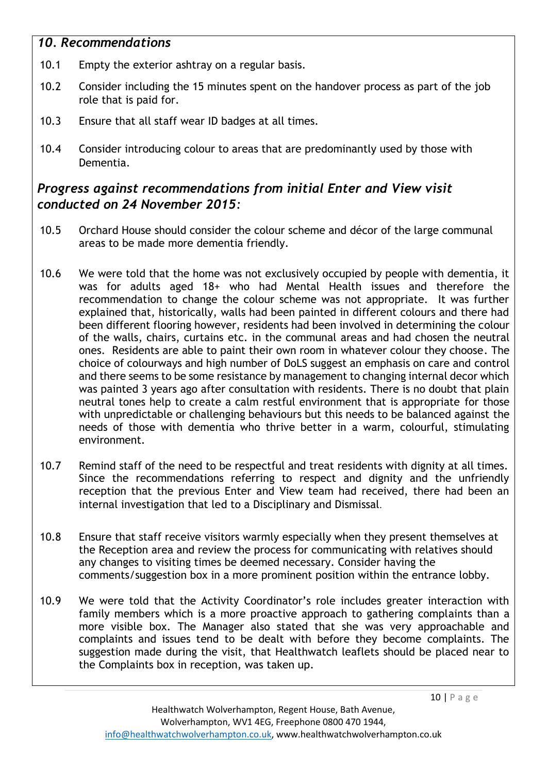#### *10. Recommendations*

- 10.1 Empty the exterior ashtray on a regular basis.
- 10.2 Consider including the 15 minutes spent on the handover process as part of the job role that is paid for.
- 10.3 Ensure that all staff wear ID badges at all times.
- 10.4 Consider introducing colour to areas that are predominantly used by those with Dementia.

### *Progress against recommendations from initial Enter and View visit conducted on 24 November 2015:*

- 10.5 Orchard House should consider the colour scheme and décor of the large communal areas to be made more dementia friendly.
- 10.6 We were told that the home was not exclusively occupied by people with dementia, it was for adults aged 18+ who had Mental Health issues and therefore the recommendation to change the colour scheme was not appropriate. It was further explained that, historically, walls had been painted in different colours and there had been different flooring however, residents had been involved in determining the colour of the walls, chairs, curtains etc. in the communal areas and had chosen the neutral ones. Residents are able to paint their own room in whatever colour they choose. The choice of colourways and high number of DoLS suggest an emphasis on care and control and there seems to be some resistance by management to changing internal decor which was painted 3 years ago after consultation with residents. There is no doubt that plain neutral tones help to create a calm restful environment that is appropriate for those with unpredictable or challenging behaviours but this needs to be balanced against the needs of those with dementia who thrive better in a warm, colourful, stimulating environment.
- 10.7 Remind staff of the need to be respectful and treat residents with dignity at all times. Since the recommendations referring to respect and dignity and the unfriendly reception that the previous Enter and View team had received, there had been an internal investigation that led to a Disciplinary and Dismissal.
- 10.8 Ensure that staff receive visitors warmly especially when they present themselves at the Reception area and review the process for communicating with relatives should any changes to visiting times be deemed necessary. Consider having the comments/suggestion box in a more prominent position within the entrance lobby.
- 10.9 We were told that the Activity Coordinator's role includes greater interaction with family members which is a more proactive approach to gathering complaints than a more visible box. The Manager also stated that she was very approachable and complaints and issues tend to be dealt with before they become complaints. The suggestion made during the visit, that Healthwatch leaflets should be placed near to the Complaints box in reception, was taken up.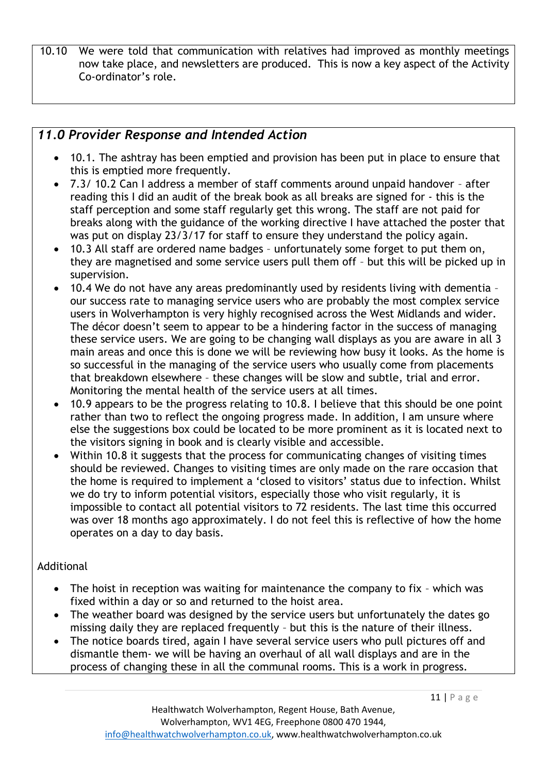10.10 We were told that communication with relatives had improved as monthly meetings now take place, and newsletters are produced. This is now a key aspect of the Activity Co-ordinator's role.

#### *11.0 Provider Response and Intended Action*

- 10.1. The ashtray has been emptied and provision has been put in place to ensure that this is emptied more frequently.
- 7.3/ 10.2 Can I address a member of staff comments around unpaid handover after reading this I did an audit of the break book as all breaks are signed for - this is the staff perception and some staff regularly get this wrong. The staff are not paid for breaks along with the guidance of the working directive I have attached the poster that was put on display 23/3/17 for staff to ensure they understand the policy again.
- 10.3 All staff are ordered name badges unfortunately some forget to put them on, they are magnetised and some service users pull them off – but this will be picked up in supervision.
- 10.4 We do not have any areas predominantly used by residents living with dementia our success rate to managing service users who are probably the most complex service users in Wolverhampton is very highly recognised across the West Midlands and wider. The décor doesn't seem to appear to be a hindering factor in the success of managing these service users. We are going to be changing wall displays as you are aware in all 3 main areas and once this is done we will be reviewing how busy it looks. As the home is so successful in the managing of the service users who usually come from placements that breakdown elsewhere – these changes will be slow and subtle, trial and error. Monitoring the mental health of the service users at all times.
- 10.9 appears to be the progress relating to 10.8. I believe that this should be one point rather than two to reflect the ongoing progress made. In addition, I am unsure where else the suggestions box could be located to be more prominent as it is located next to the visitors signing in book and is clearly visible and accessible.
- Within 10.8 it suggests that the process for communicating changes of visiting times should be reviewed. Changes to visiting times are only made on the rare occasion that the home is required to implement a 'closed to visitors' status due to infection. Whilst we do try to inform potential visitors, especially those who visit regularly, it is impossible to contact all potential visitors to 72 residents. The last time this occurred was over 18 months ago approximately. I do not feel this is reflective of how the home operates on a day to day basis.

#### Additional

- The hoist in reception was waiting for maintenance the company to fix which was fixed within a day or so and returned to the hoist area.
- The weather board was designed by the service users but unfortunately the dates go missing daily they are replaced frequently – but this is the nature of their illness.
- The notice boards tired, again I have several service users who pull pictures off and dismantle them- we will be having an overhaul of all wall displays and are in the process of changing these in all the communal rooms. This is a work in progress.